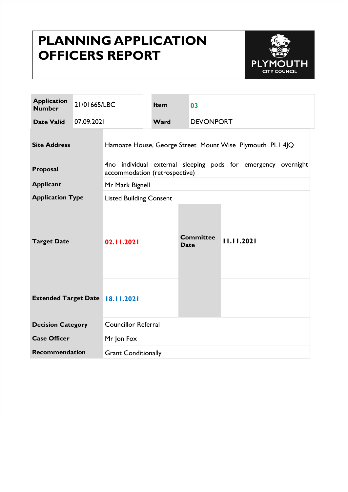# **PLANNING APPLICATION OFFICERS REPORT**



| <b>Application</b><br><b>Number</b>     | 21/01665/LBC |                                                                                                |  | Item        |                  | 03         |  |  |  |  |
|-----------------------------------------|--------------|------------------------------------------------------------------------------------------------|--|-------------|------------------|------------|--|--|--|--|
| <b>Date Valid</b>                       | 07.09.2021   |                                                                                                |  | Ward        | <b>DEVONPORT</b> |            |  |  |  |  |
| <b>Site Address</b>                     |              | Hamoaze House, George Street Mount Wise Plymouth PLI 4JQ                                       |  |             |                  |            |  |  |  |  |
| Proposal                                |              | 4no individual external sleeping pods for emergency overnight<br>accommodation (retrospective) |  |             |                  |            |  |  |  |  |
| <b>Applicant</b>                        |              | Mr Mark Bignell                                                                                |  |             |                  |            |  |  |  |  |
| <b>Application Type</b>                 |              | <b>Listed Building Consent</b>                                                                 |  |             |                  |            |  |  |  |  |
| <b>Target Date</b>                      |              | 02.11.2021                                                                                     |  | <b>Date</b> | <b>Committee</b> | 11.11.2021 |  |  |  |  |
| <b>Extended Target Date   8.11.2021</b> |              |                                                                                                |  |             |                  |            |  |  |  |  |
| <b>Decision Category</b>                |              | <b>Councillor Referral</b>                                                                     |  |             |                  |            |  |  |  |  |
| <b>Case Officer</b>                     |              | Mr Jon Fox                                                                                     |  |             |                  |            |  |  |  |  |
| <b>Recommendation</b>                   |              | <b>Grant Conditionally</b>                                                                     |  |             |                  |            |  |  |  |  |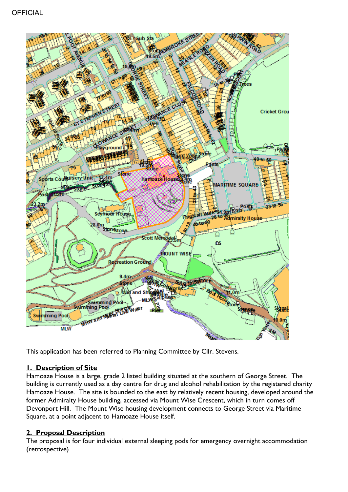

This application has been referred to Planning Committee by Cllr. Stevens.

# **1. Description of Site**

Hamoaze House is a large, grade 2 listed building situated at the southern of George Street. The building is currently used as a day centre for drug and alcohol rehabilitation by the registered charity Hamoaze House. The site is bounded to the east by relatively recent housing, developed around the former Admiralty House building, accessed via Mount Wise Crescent, which in turn comes off Devonport Hill. The Mount Wise housing development connects to George Street via Maritime Square, at a point adjacent to Hamoaze House itself.

# **2. Proposal Description**

The proposal is for four individual external sleeping pods for emergency overnight accommodation (retrospective)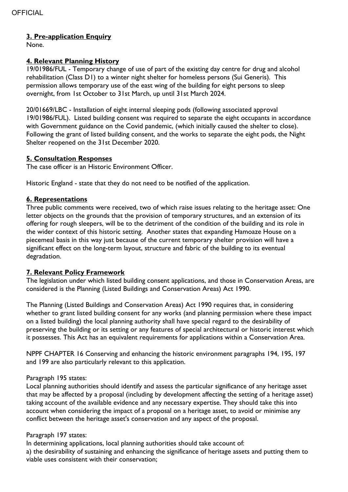# **3. Pre-application Enquiry**

None.

# **4. Relevant Planning History**

19/01986/FUL - Temporary change of use of part of the existing day centre for drug and alcohol rehabilitation (Class D1) to a winter night shelter for homeless persons (Sui Generis). This permission allows temporary use of the east wing of the building for eight persons to sleep overnight, from 1st October to 31st March, up until 31st March 2024.

20/01669/LBC - Installation of eight internal sleeping pods (following associated approval 19/01986/FUL). Listed building consent was required to separate the eight occupants in accordance with Government guidance on the Covid pandemic, (which initially caused the shelter to close). Following the grant of listed building consent, and the works to separate the eight pods, the Night Shelter reopened on the 31st December 2020.

# **5. Consultation Responses**

The case officer is an Historic Environment Officer.

Historic England - state that they do not need to be notified of the application.

# **6. Representations**

Three public comments were received, two of which raise issues relating to the heritage asset: One letter objects on the grounds that the provision of temporary structures, and an extension of its offering for rough sleepers, will be to the detriment of the condition of the building and its role in the wider context of this historic setting. Another states that expanding Hamoaze House on a piecemeal basis in this way just because of the current temporary shelter provision will have a significant effect on the long-term layout, structure and fabric of the building to its eventual degradation.

# **7. Relevant Policy Framework**

The legislation under which listed building consent applications, and those in Conservation Areas, are considered is the Planning (Listed Buildings and Conservation Areas) Act 1990.

The Planning (Listed Buildings and Conservation Areas) Act 1990 requires that, in considering whether to grant listed building consent for any works (and planning permission where these impact on a listed building) the local planning authority shall have special regard to the desirability of preserving the building or its setting or any features of special architectural or historic interest which it possesses. This Act has an equivalent requirements for applications within a Conservation Area.

NPPF CHAPTER 16 Conserving and enhancing the historic environment paragraphs 194, 195, 197 and 199 are also particularly relevant to this application.

# Paragraph 195 states:

Local planning authorities should identify and assess the particular significance of any heritage asset that may be affected by a proposal (including by development affecting the setting of a heritage asset) taking account of the available evidence and any necessary expertise. They should take this into account when considering the impact of a proposal on a heritage asset, to avoid or minimise any conflict between the heritage asset's conservation and any aspect of the proposal.

# Paragraph 197 states:

In determining applications, local planning authorities should take account of: a) the desirability of sustaining and enhancing the significance of heritage assets and putting them to viable uses consistent with their conservation;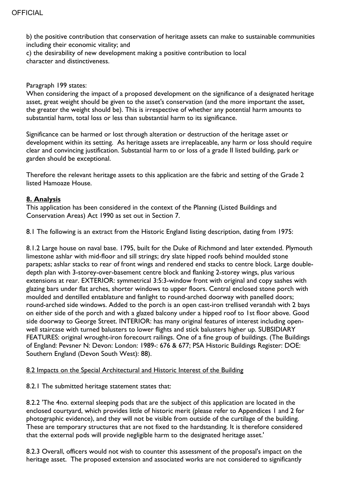b) the positive contribution that conservation of heritage assets can make to sustainable communities including their economic vitality; and

c) the desirability of new development making a positive contribution to local character and distinctiveness.

#### Paragraph 199 states:

When considering the impact of a proposed development on the significance of a designated heritage asset, great weight should be given to the asset's conservation (and the more important the asset, the greater the weight should be). This is irrespective of whether any potential harm amounts to substantial harm, total loss or less than substantial harm to its significance.

Significance can be harmed or lost through alteration or destruction of the heritage asset or development within its setting. As heritage assets are irreplaceable, any harm or loss should require clear and convincing justification. Substantial harm to or loss of a grade II listed building, park or garden should be exceptional.

Therefore the relevant heritage assets to this application are the fabric and setting of the Grade 2 listed Hamoaze House.

# **8. Analysis**

This application has been considered in the context of the Planning (Listed Buildings and Conservation Areas) Act 1990 as set out in Section 7.

8.1 The following is an extract from the Historic England listing description, dating from 1975:

8.1.2 Large house on naval base. 1795, built for the Duke of Richmond and later extended. Plymouth limestone ashlar with mid-floor and sill strings; dry slate hipped roofs behind moulded stone parapets; ashlar stacks to rear of front wings and rendered end stacks to centre block. Large doubledepth plan with 3-storey-over-basement centre block and flanking 2-storey wings, plus various extensions at rear. EXTERIOR: symmetrical 3:5:3-window front with original and copy sashes with glazing bars under flat arches, shorter windows to upper floors. Central enclosed stone porch with moulded and dentilled entablature and fanlight to round-arched doorway with panelled doors; round-arched side windows. Added to the porch is an open cast-iron trellised verandah with 2 bays on either side of the porch and with a glazed balcony under a hipped roof to 1st floor above. Good side doorway to George Street. INTERIOR: has many original features of interest including openwell staircase with turned balusters to lower flights and stick balusters higher up. SUBSIDIARY FEATURES: original wrought-iron forecourt railings. One of a fine group of buildings. (The Buildings of England: Pevsner N: Devon: London: 1989-: 676 & 677; PSA Historic Buildings Register: DOE: Southern England (Devon South West): 88).

#### 8.2 Impacts on the Special Architectural and Historic Interest of the Building

# 8.2.1 The submitted heritage statement states that:

8.2.2 'The 4no. external sleeping pods that are the subject of this application are located in the enclosed courtyard, which provides little of historic merit (please refer to Appendices 1 and 2 for photographic evidence), and they will not be visible from outside of the curtilage of the building. These are temporary structures that are not fixed to the hardstanding. It is therefore considered that the external pods will provide negligible harm to the designated heritage asset.'

8.2.3 Overall, officers would not wish to counter this assessment of the proposal's impact on the heritage asset. The proposed extension and associated works are not considered to significantly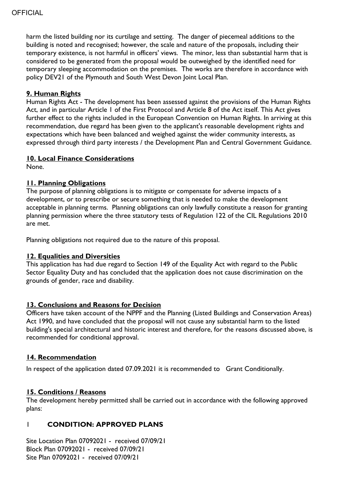harm the listed building nor its curtilage and setting. The danger of piecemeal additions to the building is noted and recognised; however, the scale and nature of the proposals, including their temporary existence, is not harmful in officers' views. The minor, less than substantial harm that is considered to be generated from the proposal would be outweighed by the identified need for temporary sleeping accommodation on the premises. The works are therefore in accordance with policy DEV21 of the Plymouth and South West Devon Joint Local Plan.

# **9. Human Rights**

Human Rights Act - The development has been assessed against the provisions of the Human Rights Act, and in particular Article 1 of the First Protocol and Article 8 of the Act itself. This Act gives further effect to the rights included in the European Convention on Human Rights. In arriving at this recommendation, due regard has been given to the applicant's reasonable development rights and expectations which have been balanced and weighed against the wider community interests, as expressed through third party interests / the Development Plan and Central Government Guidance.

# **10. Local Finance Considerations**

None.

# **11. Planning Obligations**

The purpose of planning obligations is to mitigate or compensate for adverse impacts of a development, or to prescribe or secure something that is needed to make the development acceptable in planning terms. Planning obligations can only lawfully constitute a reason for granting planning permission where the three statutory tests of Regulation 122 of the CIL Regulations 2010 are met.

Planning obligations not required due to the nature of this proposal.

# **12. Equalities and Diversities**

This application has had due regard to Section 149 of the Equality Act with regard to the Public Sector Equality Duty and has concluded that the application does not cause discrimination on the grounds of gender, race and disability.

# **13. Conclusions and Reasons for Decision**

Officers have taken account of the NPPF and the Planning (Listed Buildings and Conservation Areas) Act 1990, and have concluded that the proposal will not cause any substantial harm to the listed building's special architectural and historic interest and therefore, for the reasons discussed above, is recommended for conditional approval.

# **14. Recommendation**

In respect of the application dated 07.09.2021 it is recommended to Grant Conditionally.

# **15. Conditions / Reasons**

The development hereby permitted shall be carried out in accordance with the following approved plans:

# 1 **CONDITION: APPROVED PLANS**

Site Location Plan 07092021 - received 07/09/21 Block Plan 07092021 - received 07/09/21 Site Plan 07092021 - received 07/09/21